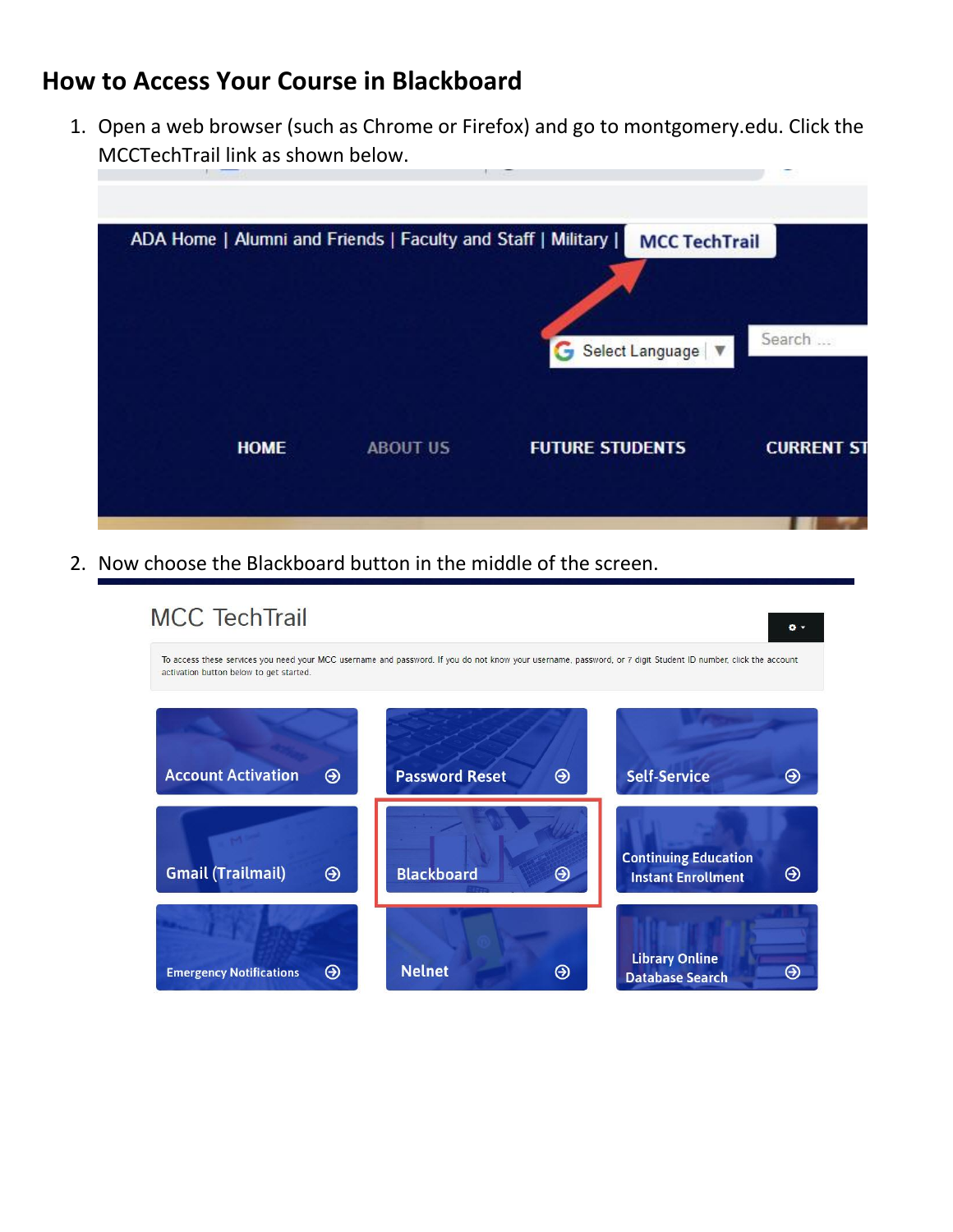## **How to Access Your Course in Blackboard**

1. Open a web browser (such as Chrome or Firefox) and go to montgomery.edu. Click the MCCTechTrail link as shown below.



2. Now choose the Blackboard button in the middle of the screen.

| <b>MCC TechTrail</b>                    |                                                                                                                                                               |                                                               |
|-----------------------------------------|---------------------------------------------------------------------------------------------------------------------------------------------------------------|---------------------------------------------------------------|
| activation button below to get started. | To access these services you need your MCC username and password. If you do not know your username, password, or 7 digit Student ID number, click the account |                                                               |
|                                         |                                                                                                                                                               |                                                               |
| <b>Account Activation</b><br>⊛          | <b>Password Reset</b><br>$\odot$                                                                                                                              | <b>Self-Service</b><br>⊖                                      |
| <b>Gmail (Trailmail)</b><br>$\odot$     | <b>Blackboard</b><br>$\odot$                                                                                                                                  | <b>Continuing Education</b><br>⊛<br><b>Instant Enrollment</b> |
| ⊛<br><b>Emergency Notifications</b>     | <b>Nelnet</b><br>⊛                                                                                                                                            | <b>Library Online</b><br>⊖<br><b>Database Search</b>          |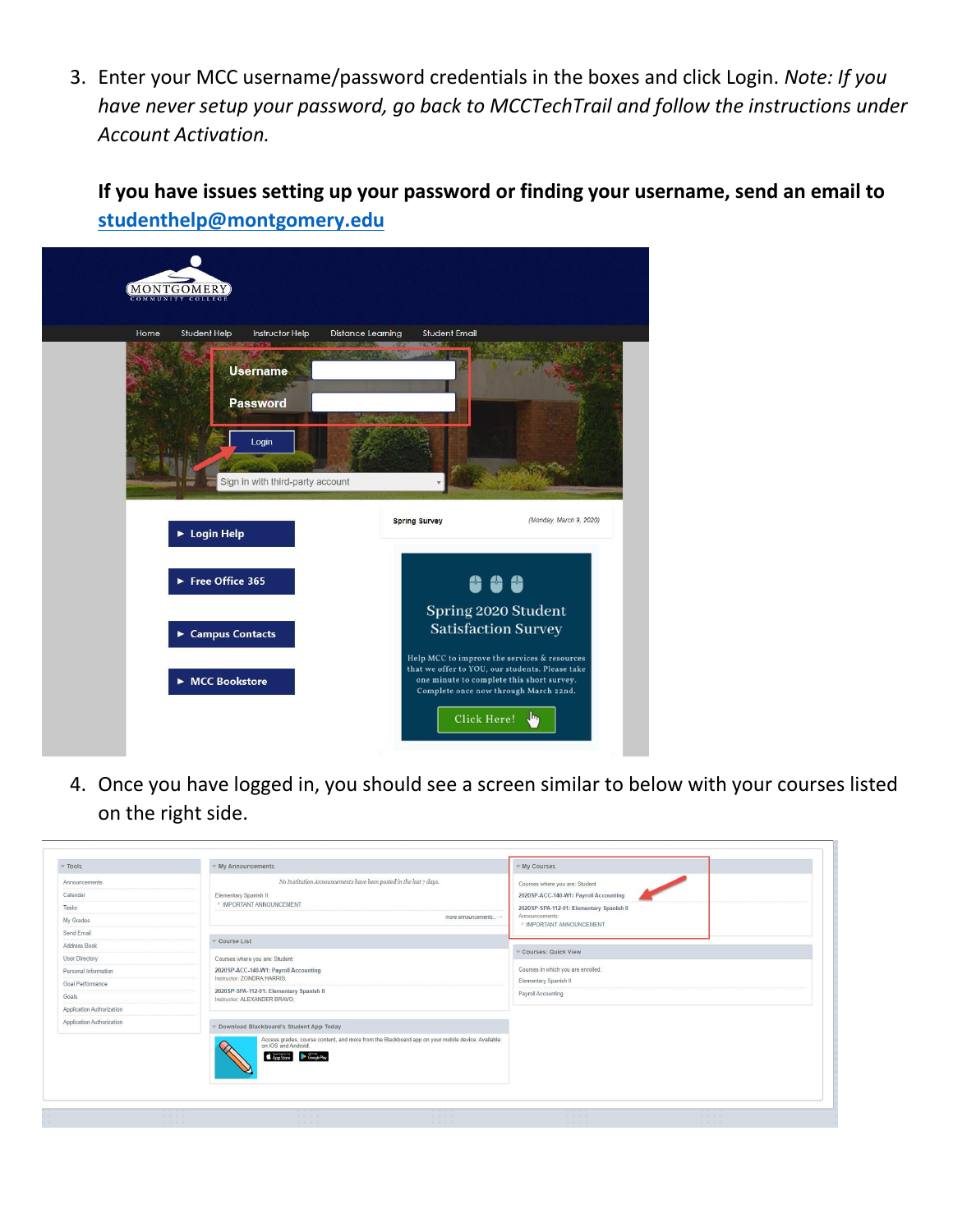3. Enter your MCC username/password credentials in the boxes and click Login. *Note: If you have never setup your password, go back to MCCTechTrail and follow the instructions under Account Activation.*

**If you have issues setting up your password or finding your username, send an email to [studenthelp@montgomery.edu](mailto:studenthelp@montgomery.edu)**

| Home | Student Help                          | Instructor Help                  | <b>Distance Learning</b> | Student Email<br>m   |                                                                                                                                                                                       |  |
|------|---------------------------------------|----------------------------------|--------------------------|----------------------|---------------------------------------------------------------------------------------------------------------------------------------------------------------------------------------|--|
|      | <b>Username</b>                       |                                  |                          |                      |                                                                                                                                                                                       |  |
|      | <b>Password</b>                       |                                  |                          |                      |                                                                                                                                                                                       |  |
|      | Login                                 |                                  |                          |                      |                                                                                                                                                                                       |  |
|      |                                       |                                  |                          |                      |                                                                                                                                                                                       |  |
|      |                                       | Sign in with third-party account |                          |                      |                                                                                                                                                                                       |  |
|      |                                       |                                  |                          |                      |                                                                                                                                                                                       |  |
|      |                                       |                                  |                          | <b>Spring Survey</b> | (Monday, March 9, 2020)                                                                                                                                                               |  |
|      | ▶ Login Help                          |                                  |                          |                      |                                                                                                                                                                                       |  |
|      |                                       |                                  |                          |                      |                                                                                                                                                                                       |  |
|      | Free Office 365                       |                                  |                          |                      | 999                                                                                                                                                                                   |  |
|      |                                       |                                  |                          |                      | Spring 2020 Student                                                                                                                                                                   |  |
|      | $\blacktriangleright$ Campus Contacts |                                  |                          |                      | <b>Satisfaction Survey</b>                                                                                                                                                            |  |
|      |                                       |                                  |                          |                      |                                                                                                                                                                                       |  |
|      | ▶ MCC Bookstore                       |                                  |                          |                      | Help MCC to improve the services & resources<br>that we offer to YOU, our students. Please take<br>one minute to complete this short survey.<br>Complete once now through March 22nd. |  |

4. Once you have logged in, you should see a screen similar to below with your courses listed on the right side.

| Tools                     | ▼ My Announcements                                                                                                                               | $w$ My Courses                             |
|---------------------------|--------------------------------------------------------------------------------------------------------------------------------------------------|--------------------------------------------|
| Announcements             | No Institution Announcements have been posted in the last $\tau$ days.                                                                           | Courses where you are: Student             |
| Calendar                  | Elementary Spanish II                                                                                                                            | 2020SP-ACC-140-W1: Payroll Accounting      |
| Tasks                     | > IMPORTANT ANNOUNCEMENT                                                                                                                         | 2020SP-SPA-112-01: Elementary Spanish II   |
| My Grades                 | more announcements $\rightarrow$                                                                                                                 | Announcements:<br>> IMPORTANT ANNOUNCEMENT |
| Send Email                |                                                                                                                                                  |                                            |
| Address Book              | Course List                                                                                                                                      | Courses: Quick View                        |
| User Directory            | Courses where you are: Student                                                                                                                   |                                            |
| Personal Information      | 2020 SP-ACC-140-W1: Payroll Accounting<br>Instructor: ZONDRA HARRIS:                                                                             | Courses in which you are enrolled:         |
| Goal Performance          | 2020 SP-SPA-112-01: Elementary Spanish II                                                                                                        | Elementary Spanish II                      |
| Goals                     | Instructor: ALEXANDER BRAVO;                                                                                                                     | Payroll Accounting                         |
| Application Authorization |                                                                                                                                                  |                                            |
| Application Authorization | Download Blackboard's Student App Today                                                                                                          |                                            |
|                           | Access grades, course content, and more from the Blackboard app on your mobile device. Available<br>on iOS and Android.<br>App Store Google Play |                                            |
|                           |                                                                                                                                                  |                                            |